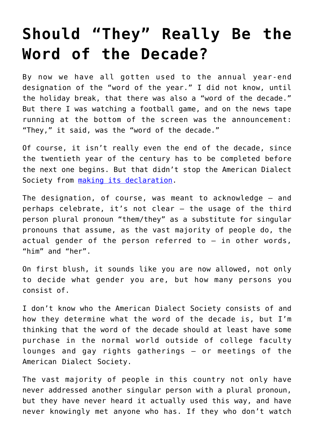## **[Should "They" Really Be the](https://intellectualtakeout.org/2020/01/should-they-really-be-the-word-of-the-decade/) [Word of the Decade?](https://intellectualtakeout.org/2020/01/should-they-really-be-the-word-of-the-decade/)**

By now we have all gotten used to the annual year-end designation of the "word of the year." I did not know, until the holiday break, that there was also a "word of the decade." But there I was watching a football game, and on the news tape running at the bottom of the screen was the announcement: "They," it said, was the "word of the decade."

Of course, it isn't really even the end of the decade, since the twentieth year of the century has to be completed before the next one begins. But that didn't stop the American Dialect Society from [making its declaration.](https://www.americandialect.org/2019-word-of-the-year-is-my-pronouns-word-of-the-decade-is-singular-they)

The designation, of course, was meant to acknowledge – and perhaps celebrate, it's not clear – the usage of the third person plural pronoun "them/they" as a substitute for singular pronouns that assume, as the vast majority of people do, the actual gender of the person referred to – in other words, "him" and "her".

On first blush, it sounds like you are now allowed, not only to decide what gender you are, but how many persons you consist of.

I don't know who the American Dialect Society consists of and how they determine what the word of the decade is, but I'm thinking that the word of the decade should at least have some purchase in the normal world outside of college faculty lounges and gay rights gatherings – or meetings of the American Dialect Society.

The vast majority of people in this country not only have never addressed another singular person with a plural pronoun, but they have never heard it actually used this way, and have never knowingly met anyone who has. If they who don't watch